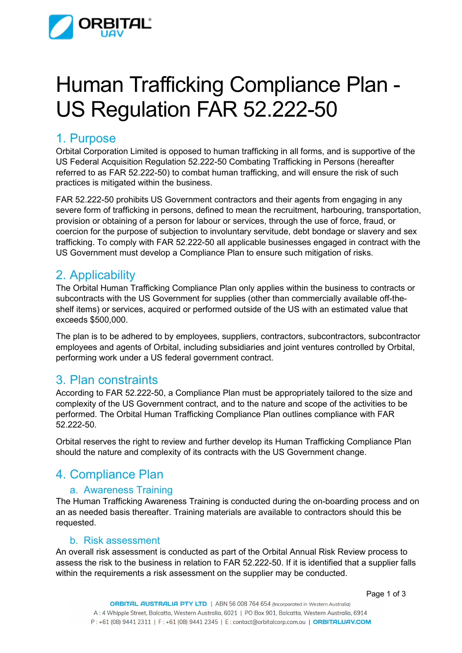

# Human Trafficking Compliance Plan - US Regulation FAR 52.222-50

## 1. Purpose

Orbital Corporation Limited is opposed to human trafficking in all forms, and is supportive of the US Federal Acquisition Regulation 52.222-50 Combating Trafficking in Persons (hereafter referred to as FAR 52.222-50) to combat human trafficking, and will ensure the risk of such practices is mitigated within the business.

FAR 52.222-50 prohibits US Government contractors and their agents from engaging in any severe form of trafficking in persons, defined to mean the recruitment, harbouring, transportation, provision or obtaining of a person for labour or services, through the use of force, fraud, or coercion for the purpose of subjection to involuntary servitude, debt bondage or slavery and sex trafficking. To comply with FAR 52.222-50 all applicable businesses engaged in contract with the US Government must develop a Compliance Plan to ensure such mitigation of risks.

# 2. Applicability

The Orbital Human Trafficking Compliance Plan only applies within the business to contracts or subcontracts with the US Government for supplies (other than commercially available off-theshelf items) or services, acquired or performed outside of the US with an estimated value that exceeds \$500,000.

The plan is to be adhered to by employees, suppliers, contractors, subcontractors, subcontractor employees and agents of Orbital, including subsidiaries and joint ventures controlled by Orbital, performing work under a US federal government contract.

## 3. Plan constraints

According to FAR 52.222-50, a Compliance Plan must be appropriately tailored to the size and complexity of the US Government contract, and to the nature and scope of the activities to be performed. The Orbital Human Trafficking Compliance Plan outlines compliance with FAR 52.222-50.

Orbital reserves the right to review and further develop its Human Trafficking Compliance Plan should the nature and complexity of its contracts with the US Government change.

# 4. Compliance Plan

## a. Awareness Training

The Human Trafficking Awareness Training is conducted during the on-boarding process and on an as needed basis thereafter. Training materials are available to contractors should this be requested.

#### b. Risk assessment

An overall risk assessment is conducted as part of the Orbital Annual Risk Review process to assess the risk to the business in relation to FAR 52.222-50. If it is identified that a supplier falls within the requirements a risk assessment on the supplier may be conducted.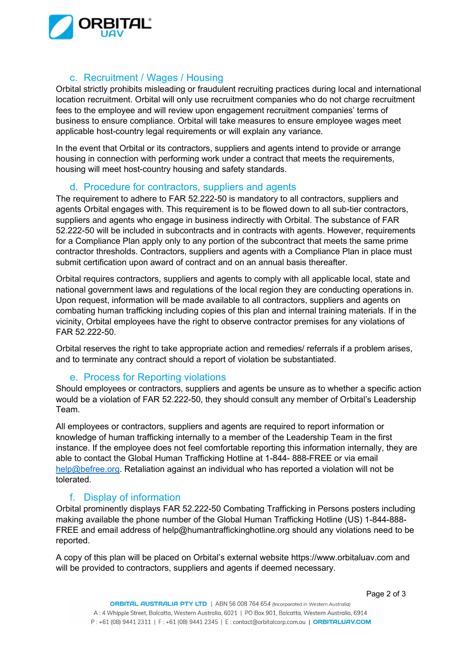

## c. Recruitment / Wages / Housing

Orbital strictly prohibits misleading or fraudulent recruiting practices during local and international location recruitment. Orbital will only use recruitment companies who do not charge recruitment fees to the employee and will review upon engagement recruitment companies' terms of business to ensure compliance. Orbital will take measures to ensure employee wages meet applicable host-country legal requirements or will explain any variance.

In the event that Orbital or its contractors, suppliers and agents intend to provide or arrange housing in connection with performing work under a contract that meets the requirements, housing will meet host-country housing and safety standards.

## d. Procedure for contractors, suppliers and agents

The requirement to adhere to FAR 52.222-50 is mandatory to all contractors, suppliers and agents Orbital engages with. This requirement is to be flowed down to all sub-tier contractors, suppliers and agents who engage in business indirectly with Orbital. The substance of FAR 52.222-50 will be included in subcontracts and in contracts with agents. However, requirements for a Compliance Plan apply only to any portion of the subcontract that meets the same prime contractor thresholds. Contractors, suppliers and agents with a Compliance Plan in place must submit certification upon award of contract and on an annual basis thereafter.

Orbital requires contractors, suppliers and agents to comply with all applicable local, state and national government laws and regulations of the local region they are conducting operations in. Upon request, information will be made available to all contractors, suppliers and agents on combating human trafficking including copies of this plan and internal training materials. If in the vicinity, Orbital employees have the right to observe contractor premises for any violations of FAR 52.222-50.

Orbital reserves the right to take appropriate action and remedies/ referrals if a problem arises, and to terminate any contract should a report of violation be substantiated.

## e. Process for Reporting violations

Should employees or contractors, suppliers and agents be unsure as to whether a specific action would be a violation of FAR 52.222-50, they should consult any member of Orbital's Leadership Team.

All employees or contractors, suppliers and agents are required to report information or knowledge of human trafficking internally to a member of the Leadership Team in the first instance. If the employee does not feel comfortable reporting this information internally, they are able to contact the Global Human Trafficking Hotline at 1-844- 888-FREE or via email [help@befree.org.](mailto:help@befree.org) Retaliation against an individual who has reported a violation will not be tolerated.

## f. Display of information

Orbital prominently displays FAR 52.222-50 Combating Trafficking in Persons posters including making available the phone number of the Global Human Trafficking Hotline (US) 1-844-888- FREE and email address of [help@humantraffickinghotline.org](mailto:help@humantraffickinghotline.org) should any violations need to be reported.

A copy of this plan will be placed on Orbital's external website https://www.orbitaluav.com and will be provided to contractors, suppliers and agents if deemed necessary.